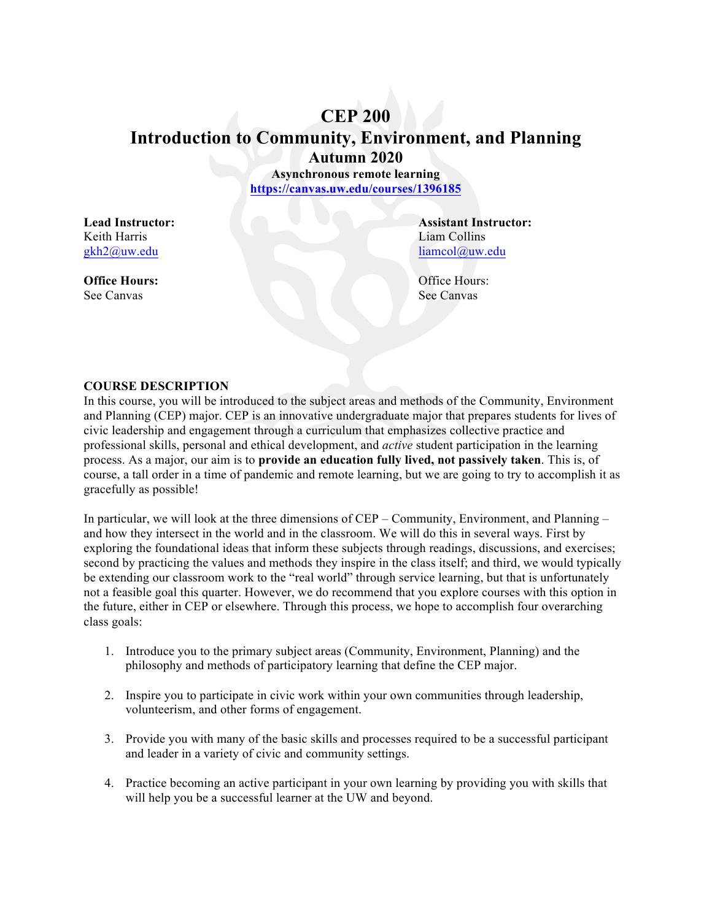# **CEP 200**

**Introduction to Community, Environment, and Planning Autumn 2020**

**Asynchronous remote learning https://canvas.uw.edu/courses/1396185**

Keith Harris Liam Collins

See Canvas See Canvas

**Lead Instructor: Assistant Instructor:** gkh2@uw.edu liamcol@uw.edu

**Office Hours:** Office Hours: Office Hours:

### **COURSE DESCRIPTION**

In this course, you will be introduced to the subject areas and methods of the Community, Environment and Planning (CEP) major. CEP is an innovative undergraduate major that prepares students for lives of civic leadership and engagement through a curriculum that emphasizes collective practice and professional skills, personal and ethical development, and *active* student participation in the learning process. As a major, our aim is to **provide an education fully lived, not passively taken**. This is, of course, a tall order in a time of pandemic and remote learning, but we are going to try to accomplish it as gracefully as possible!

In particular, we will look at the three dimensions of CEP – Community, Environment, and Planning – and how they intersect in the world and in the classroom. We will do this in several ways. First by exploring the foundational ideas that inform these subjects through readings, discussions, and exercises; second by practicing the values and methods they inspire in the class itself; and third, we would typically be extending our classroom work to the "real world" through service learning, but that is unfortunately not a feasible goal this quarter. However, we do recommend that you explore courses with this option in the future, either in CEP or elsewhere. Through this process, we hope to accomplish four overarching class goals:

- 1. Introduce you to the primary subject areas (Community, Environment, Planning) and the philosophy and methods of participatory learning that define the CEP major.
- 2. Inspire you to participate in civic work within your own communities through leadership, volunteerism, and other forms of engagement.
- 3. Provide you with many of the basic skills and processes required to be a successful participant and leader in a variety of civic and community settings.
- 4. Practice becoming an active participant in your own learning by providing you with skills that will help you be a successful learner at the UW and beyond.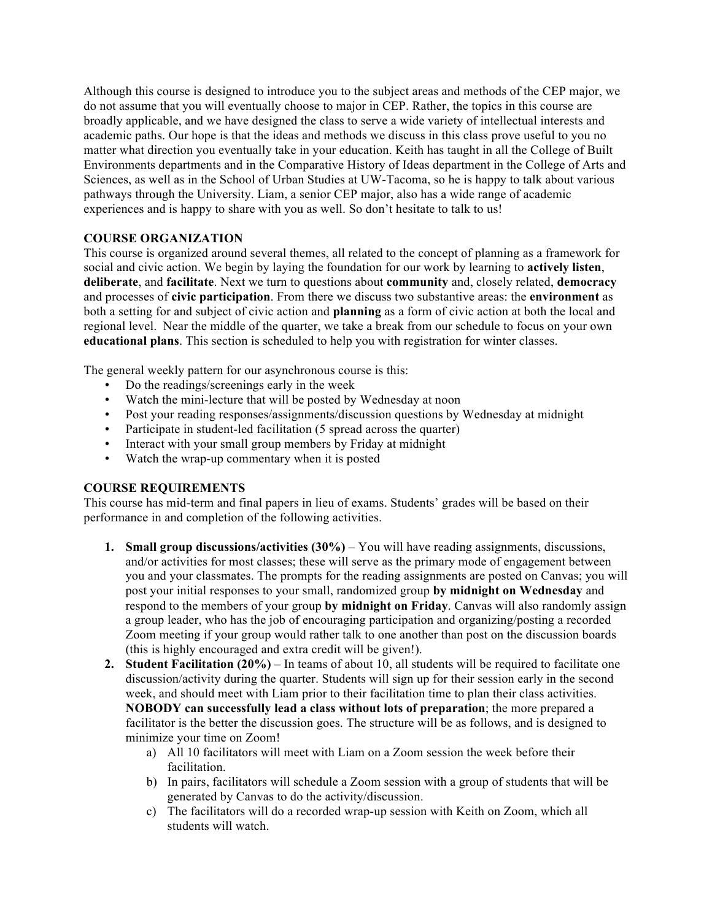Although this course is designed to introduce you to the subject areas and methods of the CEP major, we do not assume that you will eventually choose to major in CEP. Rather, the topics in this course are broadly applicable, and we have designed the class to serve a wide variety of intellectual interests and academic paths. Our hope is that the ideas and methods we discuss in this class prove useful to you no matter what direction you eventually take in your education. Keith has taught in all the College of Built Environments departments and in the Comparative History of Ideas department in the College of Arts and Sciences, as well as in the School of Urban Studies at UW-Tacoma, so he is happy to talk about various pathways through the University. Liam, a senior CEP major, also has a wide range of academic experiences and is happy to share with you as well. So don't hesitate to talk to us!

### **COURSE ORGANIZATION**

This course is organized around several themes, all related to the concept of planning as a framework for social and civic action. We begin by laying the foundation for our work by learning to **actively listen**, **deliberate**, and **facilitate**. Next we turn to questions about **community** and, closely related, **democracy** and processes of **civic participation**. From there we discuss two substantive areas: the **environment** as both a setting for and subject of civic action and **planning** as a form of civic action at both the local and regional level. Near the middle of the quarter, we take a break from our schedule to focus on your own **educational plans**. This section is scheduled to help you with registration for winter classes.

The general weekly pattern for our asynchronous course is this:

- Do the readings/screenings early in the week
- Watch the mini-lecture that will be posted by Wednesday at noon
- Post your reading responses/assignments/discussion questions by Wednesday at midnight
- Participate in student-led facilitation (5 spread across the quarter)
- Interact with your small group members by Friday at midnight
- Watch the wrap-up commentary when it is posted

### **COURSE REQUIREMENTS**

This course has mid-term and final papers in lieu of exams. Students' grades will be based on their performance in and completion of the following activities.

- **1. Small group discussions/activities (30%)** You will have reading assignments, discussions, and/or activities for most classes; these will serve as the primary mode of engagement between you and your classmates. The prompts for the reading assignments are posted on Canvas; you will post your initial responses to your small, randomized group **by midnight on Wednesday** and respond to the members of your group **by midnight on Friday**. Canvas will also randomly assign a group leader, who has the job of encouraging participation and organizing/posting a recorded Zoom meeting if your group would rather talk to one another than post on the discussion boards (this is highly encouraged and extra credit will be given!).
- **2. Student Facilitation (20%)** In teams of about 10, all students will be required to facilitate one discussion/activity during the quarter. Students will sign up for their session early in the second week, and should meet with Liam prior to their facilitation time to plan their class activities. **NOBODY can successfully lead a class without lots of preparation**; the more prepared a facilitator is the better the discussion goes. The structure will be as follows, and is designed to minimize your time on Zoom!
	- a) All 10 facilitators will meet with Liam on a Zoom session the week before their facilitation.
	- b) In pairs, facilitators will schedule a Zoom session with a group of students that will be generated by Canvas to do the activity/discussion.
	- c) The facilitators will do a recorded wrap-up session with Keith on Zoom, which all students will watch.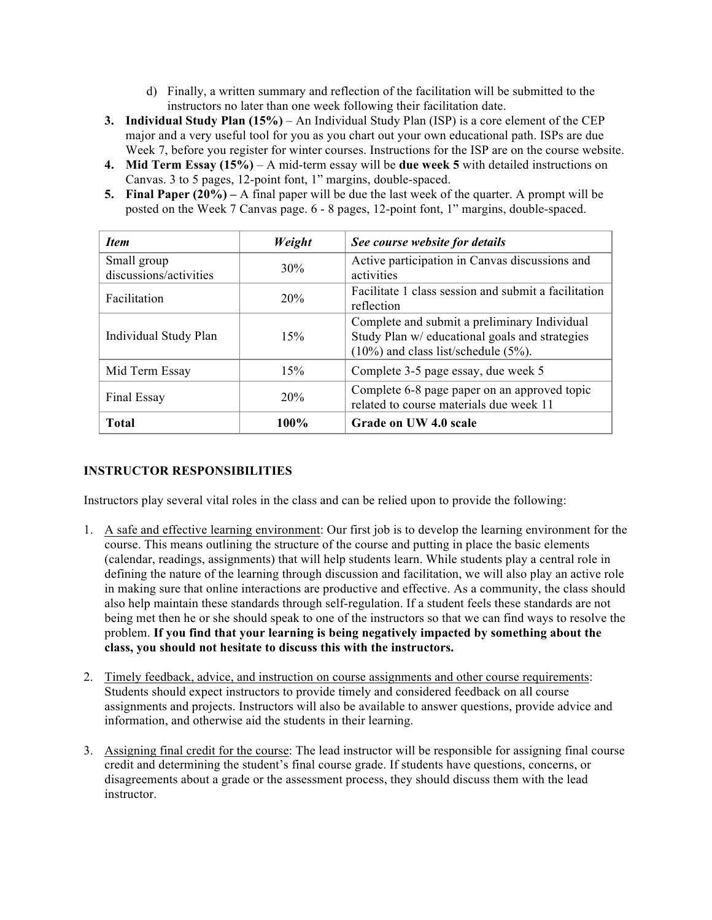- d) Finally, a written summary and reflection of the facilitation will be submitted to the instructors no later than one week following their facilitation date.
- **3. Individual Study Plan (15%)** An Individual Study Plan (ISP) is a core element of the CEP major and a very useful tool for you as you chart out your own educational path. ISPs are due Week 7, before you register for winter courses. Instructions for the ISP are on the course website.
- **4. Mid Term Essay (15%)**  A mid-term essay will be **due week 5** with detailed instructions on Canvas. 3 to 5 pages, 12-point font, 1" margins, double-spaced.
- **5. Final Paper (20%) –** A final paper will be due the last week of the quarter. A prompt will be posted on the Week 7 Canvas page. 6 - 8 pages, 12-point font, 1" margins, double-spaced.

| <b>Item</b>            | Weight  | See course website for details                                                                                                               |
|------------------------|---------|----------------------------------------------------------------------------------------------------------------------------------------------|
| Small group            | 30%     | Active participation in Canvas discussions and                                                                                               |
| discussions/activities |         | activities                                                                                                                                   |
| Facilitation           | 20%     | Facilitate 1 class session and submit a facilitation<br>reflection                                                                           |
| Individual Study Plan  | 15%     | Complete and submit a preliminary Individual<br>Study Plan w/ educational goals and strategies<br>$(10\%)$ and class list/schedule $(5\%)$ . |
| Mid Term Essay         | 15%     | Complete 3-5 page essay, due week 5                                                                                                          |
| Final Essay            | 20%     | Complete 6-8 page paper on an approved topic<br>related to course materials due week 11                                                      |
| <b>Total</b>           | $100\%$ | Grade on UW 4.0 scale                                                                                                                        |

# **INSTRUCTOR RESPONSIBILITIES**

Instructors play several vital roles in the class and can be relied upon to provide the following:

- 1. A safe and effective learning environment: Our first job is to develop the learning environment for the course. This means outlining the structure of the course and putting in place the basic elements (calendar, readings, assignments) that will help students learn. While students play a central role in defining the nature of the learning through discussion and facilitation, we will also play an active role in making sure that online interactions are productive and effective. As a community, the class should also help maintain these standards through self-regulation. If a student feels these standards are not being met then he or she should speak to one of the instructors so that we can find ways to resolve the problem. **If you find that your learning is being negatively impacted by something about the class, you should not hesitate to discuss this with the instructors.**
- 2. Timely feedback, advice, and instruction on course assignments and other course requirements: Students should expect instructors to provide timely and considered feedback on all course assignments and projects. Instructors will also be available to answer questions, provide advice and information, and otherwise aid the students in their learning.
- 3. Assigning final credit for the course: The lead instructor will be responsible for assigning final course credit and determining the student's final course grade. If students have questions, concerns, or disagreements about a grade or the assessment process, they should discuss them with the lead instructor.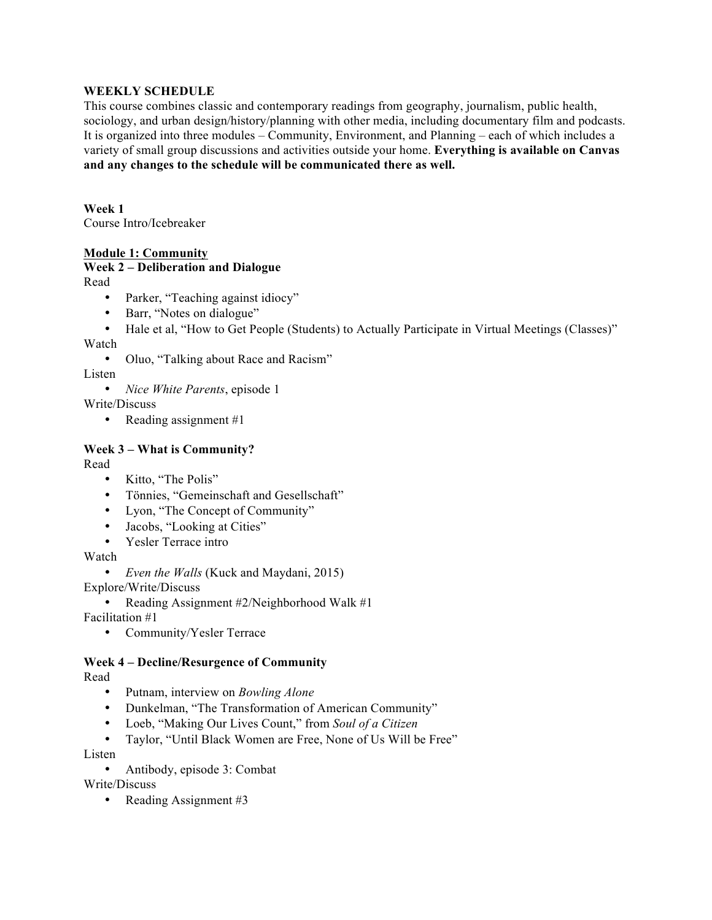#### **WEEKLY SCHEDULE**

This course combines classic and contemporary readings from geography, journalism, public health, sociology, and urban design/history/planning with other media, including documentary film and podcasts. It is organized into three modules – Community, Environment, and Planning – each of which includes a variety of small group discussions and activities outside your home. **Everything is available on Canvas and any changes to the schedule will be communicated there as well.**

**Week 1**

Course Intro/Icebreaker

### **Module 1: Community**

### **Week 2 – Deliberation and Dialogue**

Read

- Parker, "Teaching against idiocy"
- Barr, "Notes on dialogue"
- Hale et al, "How to Get People (Students) to Actually Participate in Virtual Meetings (Classes)" Watch
	- Oluo, "Talking about Race and Racism"

Listen

• *Nice White Parents*, episode 1

Write/Discuss

• Reading assignment #1

### **Week 3 – What is Community?**

Read

- Kitto, "The Polis"
- Tönnies, "Gemeinschaft and Gesellschaft"
- Lyon, "The Concept of Community"
- Jacobs, "Looking at Cities"
- Yesler Terrace intro

Watch

• *Even the Walls* (Kuck and Maydani, 2015)

Explore/Write/Discuss

• Reading Assignment #2/Neighborhood Walk #1

Facilitation #1

• Community/Yesler Terrace

# **Week 4 – Decline/Resurgence of Community**

Read

- Putnam, interview on *Bowling Alone*
- Dunkelman, "The Transformation of American Community"
- Loeb, "Making Our Lives Count," from *Soul of a Citizen*
- Taylor, "Until Black Women are Free, None of Us Will be Free"

Listen

• Antibody, episode 3: Combat

Write/Discuss

• Reading Assignment #3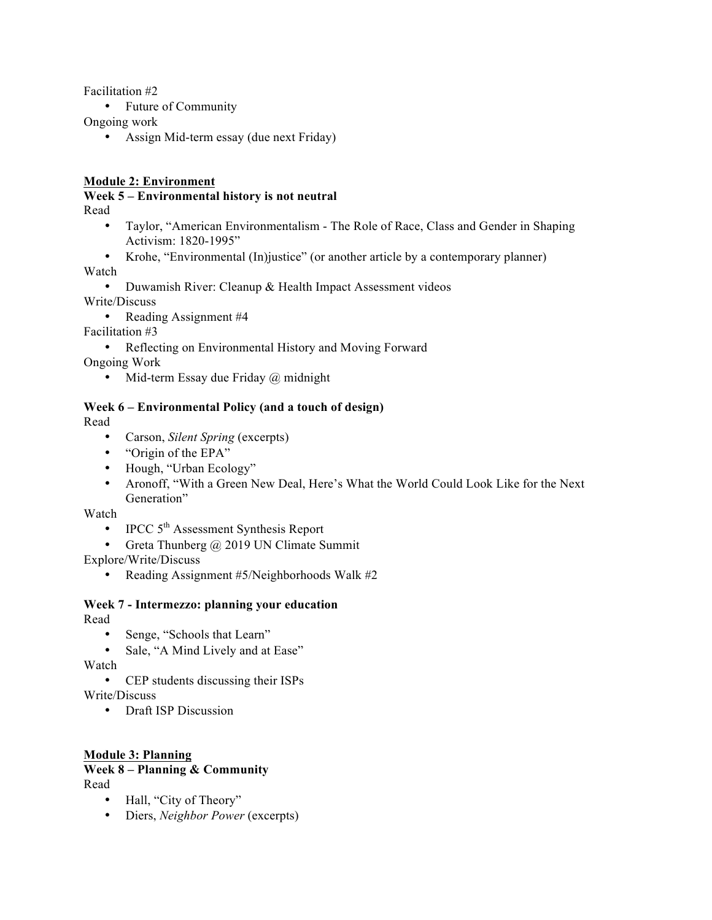Facilitation #2

• Future of Community

Ongoing work

• Assign Mid-term essay (due next Friday)

# **Module 2: Environment**

# **Week 5 – Environmental history is not neutral**

Read

- Taylor, "American Environmentalism The Role of Race, Class and Gender in Shaping Activism: 1820-1995"
- Krohe, "Environmental (In)justice" (or another article by a contemporary planner)

Watch

• Duwamish River: Cleanup & Health Impact Assessment videos

Write/Discuss

• Reading Assignment #4

Facilitation #3

• Reflecting on Environmental History and Moving Forward

Ongoing Work

• Mid-term Essay due Friday @ midnight

# **Week 6 – Environmental Policy (and a touch of design)**

Read

- Carson, *Silent Spring* (excerpts)
- "Origin of the EPA"
- Hough, "Urban Ecology"
- Aronoff, "With a Green New Deal, Here's What the World Could Look Like for the Next Generation"

Watch

- IPCC  $5<sup>th</sup>$  Assessment Synthesis Report
- Greta Thunberg @ 2019 UN Climate Summit

Explore/Write/Discuss

• Reading Assignment #5/Neighborhoods Walk #2

# **Week 7 - Intermezzo: planning your education**

Read

- Senge, "Schools that Learn"
- Sale, "A Mind Lively and at Ease"

Watch

- CEP students discussing their ISPs Write/Discuss
	- Draft ISP Discussion

# **Module 3: Planning**

#### **Week 8 – Planning & Community** Read

- Hall, "City of Theory"
- Diers, *Neighbor Power* (excerpts)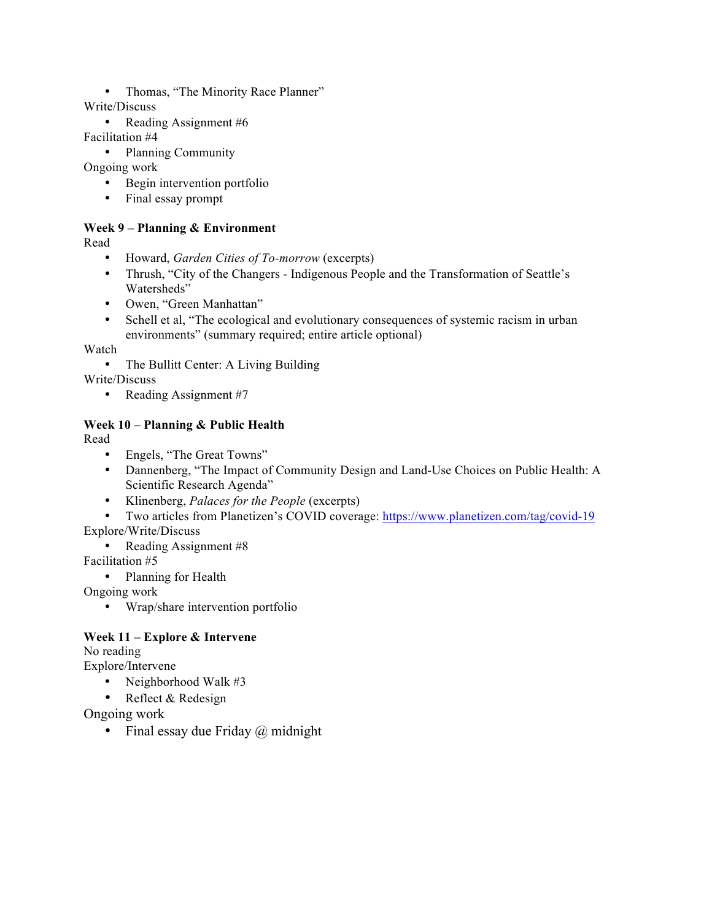• Thomas, "The Minority Race Planner"

Write/Discuss

• Reading Assignment #6

Facilitation #4

• Planning Community

Ongoing work

- Begin intervention portfolio
- Final essay prompt

# **Week 9 – Planning & Environment**

Read

- Howard, *Garden Cities of To-morrow* (excerpts)
- Thrush, "City of the Changers Indigenous People and the Transformation of Seattle's Watersheds"
- Owen, "Green Manhattan"
- Schell et al, "The ecological and evolutionary consequences of systemic racism in urban environments" (summary required; entire article optional)

Watch

• The Bullitt Center: A Living Building

Write/Discuss

• Reading Assignment #7

# **Week 10 – Planning & Public Health**

Read

- Engels, "The Great Towns"
- Dannenberg, "The Impact of Community Design and Land-Use Choices on Public Health: A Scientific Research Agenda"
- Klinenberg, *Palaces for the People* (excerpts)
- Two articles from Planetizen's COVID coverage: https://www.planetizen.com/tag/covid-19

Explore/Write/Discuss

• Reading Assignment #8

Facilitation #5

• Planning for Health

Ongoing work

• Wrap/share intervention portfolio

# **Week 11 – Explore & Intervene**

No reading

Explore/Intervene

- Neighborhood Walk #3
- Reflect & Redesign

Ongoing work

• Final essay due Friday  $\omega$  midnight